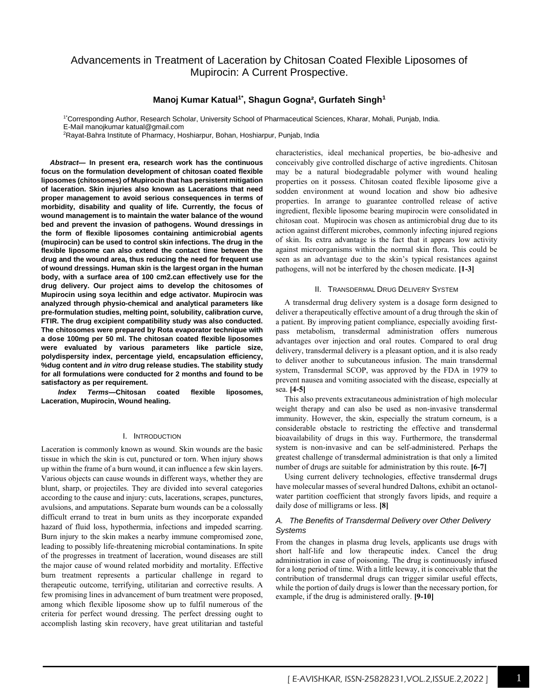# Advancements in Treatment of Laceration by Chitosan Coated Flexible Liposomes of Mupirocin: A Current Prospective.

## **Manoj Kumar Katual1\*, Shagun Gogna², Gurfateh Singh<sup>1</sup>**

1\*Corresponding Author, Research Scholar, University School of Pharmaceutical Sciences, Kharar, Mohali, Punjab, India. E-Mail manojkumar katual@gmail.com

2Rayat-Bahra Institute of Pharmacy, Hoshiarpur, Bohan, Hoshiarpur, Punjab, India

*Abstract***— In present era, research work has the continuous focus on the formulation development of chitosan coated flexible liposomes (chitosomes) of Mupirocin that has persistent mitigation of laceration. Skin injuries also known as Lacerations that need proper management to avoid serious consequences in terms of morbidity, disability and quality of life. Currently, the focus of wound management is to maintain the water balance of the wound bed and prevent the invasion of pathogens. Wound dressings in the form of flexible liposomes containing antimicrobial agents (mupirocin) can be used to control skin infections. The drug in the flexible liposome can also extend the contact time between the drug and the wound area, thus reducing the need for frequent use of wound dressings. Human skin is the largest organ in the human body, with a surface area of 100 cm2.can effectively use for the drug delivery. Our project aims to develop the chitosomes of Mupirocin using soya lecithin and edge activator. Mupirocin was analyzed through physio-chemical and analytical parameters like pre-formulation studies, melting point, solubility, calibration curve, FTIR. The drug excipient compatibility study was also conducted. The chitosomes were prepared by Rota evaporator technique with a dose 100mg per 50 ml. The chitosan coated flexible liposomes were evaluated by various parameters like particle size, polydispersity index, percentage yield, encapsulation efficiency, %dug content and** *in vitro* **drug release studies. The stability study for all formulations were conducted for 2 months and found to be satisfactory as per requirement.**

*Index Terms***—Chitosan coated flexible liposomes, Laceration, Mupirocin, Wound healing.**

### I. INTRODUCTION

Laceration is commonly known as wound. Skin wounds are the basic tissue in which the skin is cut, punctured or torn. When injury shows up within the frame of a burn wound, it can influence a few skin layers. Various objects can cause wounds in different ways, whether they are blunt, sharp, or projectiles. They are divided into several categories according to the cause and injury: cuts, lacerations, scrapes, punctures, avulsions, and amputations. Separate burn wounds can be a colossally difficult errand to treat in burn units as they incorporate expanded hazard of fluid loss, hypothermia, infections and impeded scarring. Burn injury to the skin makes a nearby immune compromised zone, leading to possibly life-threatening microbial contaminations. In spite of the progresses in treatment of laceration, wound diseases are still the major cause of wound related morbidity and mortality. Effective burn treatment represents a particular challenge in regard to therapeutic outcome, terrifying, utilitarian and corrective results. A few promising lines in advancement of burn treatment were proposed, among which flexible liposome show up to fulfil numerous of the criteria for perfect wound dressing. The perfect dressing ought to accomplish lasting skin recovery, have great utilitarian and tasteful characteristics, ideal mechanical properties, be bio-adhesive and conceivably give controlled discharge of active ingredients. Chitosan may be a natural biodegradable polymer with wound healing properties on it possess. Chitosan coated flexible liposome give a sodden environment at wound location and show bio adhesive properties. In arrange to guarantee controlled release of active ingredient, flexible liposome bearing mupirocin were consolidated in chitosan coat. Mupirocin was chosen as antimicrobial drug due to its action against different microbes, commonly infecting injured regions of skin. Its extra advantage is the fact that it appears low activity against microorganisms within the normal skin flora. This could be seen as an advantage due to the skin's typical resistances against pathogens, will not be interfered by the chosen medicate. **[1-3]**

#### II. TRANSDERMAL DRUG DELIVERY SYSTEM

A transdermal drug delivery system is a dosage form designed to deliver a therapeutically effective amount of a drug through the skin of a patient. By improving patient compliance, especially avoiding firstpass metabolism, transdermal administration offers numerous advantages over injection and oral routes. Compared to oral drug delivery, transdermal delivery is a pleasant option, and it is also ready to deliver another to subcutaneous infusion. The main transdermal system, Transdermal SCOP, was approved by the FDA in 1979 to prevent nausea and vomiting associated with the disease, especially at sea. **[4-5]**

This also prevents extracutaneous administration of high molecular weight therapy and can also be used as non-invasive transdermal immunity. However, the skin, especially the stratum corneum, is a considerable obstacle to restricting the effective and transdermal bioavailability of drugs in this way. Furthermore, the transdermal system is non-invasive and can be self-administered. Perhaps the greatest challenge of transdermal administration is that only a limited number of drugs are suitable for administration by this route. **[6-7]**

Using current delivery technologies, effective transdermal drugs have molecular masses of several hundred Daltons, exhibit an octanolwater partition coefficient that strongly favors lipids, and require a daily dose of milligrams or less. **[8]**

### *A. The Benefits of Transdermal Delivery over Other Delivery Systems*

From the changes in plasma drug levels, applicants use drugs with short half-life and low therapeutic index. Cancel the drug administration in case of poisoning. The drug is continuously infused for a long period of time. With a little leeway, it is conceivable that the contribution of transdermal drugs can trigger similar useful effects, while the portion of daily drugs is lower than the necessary portion, for example, if the drug is administered orally. **[9-10]**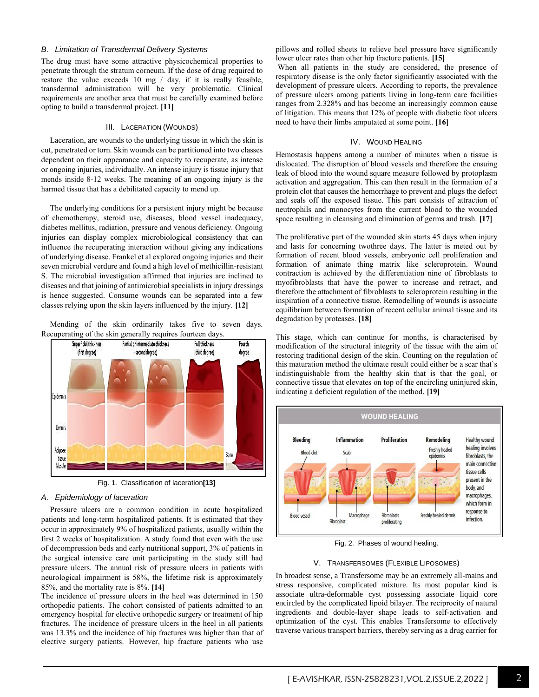### *B. Limitation of Transdermal Delivery Systems*

The drug must have some attractive physicochemical properties to penetrate through the stratum corneum. If the dose of drug required to restore the value exceeds 10 mg / day, if it is really feasible, transdermal administration will be very problematic. Clinical requirements are another area that must be carefully examined before opting to build a transdermal project. **[11]**

#### III. LACERATION (WOUNDS)

Laceration, are wounds to the underlying tissue in which the skin is cut, penetrated or torn. Skin wounds can be partitioned into two classes dependent on their appearance and capacity to recuperate, as intense or ongoing injuries, individually. An intense injury is tissue injury that mends inside 8-12 weeks. The meaning of an ongoing injury is the harmed tissue that has a debilitated capacity to mend up.

The underlying conditions for a persistent injury might be because of chemotherapy, steroid use, diseases, blood vessel inadequacy, diabetes mellitus, radiation, pressure and venous deficiency. Ongoing injuries can display complex microbiological consistency that can influence the recuperating interaction without giving any indications of underlying disease. Frankel et al explored ongoing injuries and their seven microbial verdure and found a high level of methicillin-resistant S. The microbial investigation affirmed that injuries are inclined to diseases and that joining of antimicrobial specialists in injury dressings is hence suggested. Consume wounds can be separated into a few classes relying upon the skin layers influenced by the injury. **[12]**

Mending of the skin ordinarily takes five to seven days. Recuperating of the skin generally requires fourteen days.



Fig. 1. Classification of laceration**[13]**

#### *A. Epidemiology of laceration*

Pressure ulcers are a common condition in acute hospitalized patients and long-term hospitalized patients. It is estimated that they occur in approximately 9% of hospitalized patients, usually within the first 2 weeks of hospitalization. A study found that even with the use of decompression beds and early nutritional support, 3% of patients in the surgical intensive care unit participating in the study still had pressure ulcers. The annual risk of pressure ulcers in patients with neurological impairment is 58%, the lifetime risk is approximately 85%, and the mortality rate is 8%. **[14]**

The incidence of pressure ulcers in the heel was determined in 150 orthopedic patients. The cohort consisted of patients admitted to an emergency hospital for elective orthopedic surgery or treatment of hip fractures. The incidence of pressure ulcers in the heel in all patients was 13.3% and the incidence of hip fractures was higher than that of elective surgery patients. However, hip fracture patients who use

pillows and rolled sheets to relieve heel pressure have significantly lower ulcer rates than other hip fracture patients. **[15]**

When all patients in the study are considered, the presence of respiratory disease is the only factor significantly associated with the development of pressure ulcers. According to reports, the prevalence of pressure ulcers among patients living in long-term care facilities ranges from 2.328% and has become an increasingly common cause of litigation. This means that 12% of people with diabetic foot ulcers need to have their limbs amputated at some point. **[16]**

#### IV. WOUND HEALING

Hemostasis happens among a number of minutes when a tissue is dislocated. The disruption of blood vessels and therefore the ensuing leak of blood into the wound square measure followed by protoplasm activation and aggregation. This can then result in the formation of a protein clot that causes the hemorrhage to prevent and plugs the defect and seals off the exposed tissue. This part consists of attraction of neutrophils and monocytes from the current blood to the wounded space resulting in cleansing and elimination of germs and trash. **[17]**

The proliferative part of the wounded skin starts 45 days when injury and lasts for concerning twothree days. The latter is meted out by formation of recent blood vessels, embryonic cell proliferation and formation of animate thing matrix like scleroprotein. Wound contraction is achieved by the differentiation nine of fibroblasts to myofibroblasts that have the power to increase and retract, and therefore the attachment of fibroblasts to scleroprotein resulting in the inspiration of a connective tissue. Remodelling of wounds is associate equilibrium between formation of recent cellular animal tissue and its degradation by proteases. **[18]**

This stage, which can continue for months, is characterised by modification of the structural integrity of the tissue with the aim of restoring traditional design of the skin. Counting on the regulation of this maturation method the ultimate result could either be a scar that`s indistinguishable from the healthy skin that is that the goal, or connective tissue that elevates on top of the encircling uninjured skin, indicating a deficient regulation of the method. **[19]**



Fig. 2. Phases of wound healing.

## V. TRANSFERSOMES (FLEXIBLE LIPOSOMES)

In broadest sense, a Transfersome may be an extremely all-mains and stress responsive, complicated mixture. Its most popular kind is associate ultra-deformable cyst possessing associate liquid core encircled by the complicated lipoid bilayer. The reciprocity of natural ingredients and double-layer shape leads to self-activation and optimization of the cyst. This enables Transfersome to effectively traverse various transport barriers, thereby serving as a drug carrier for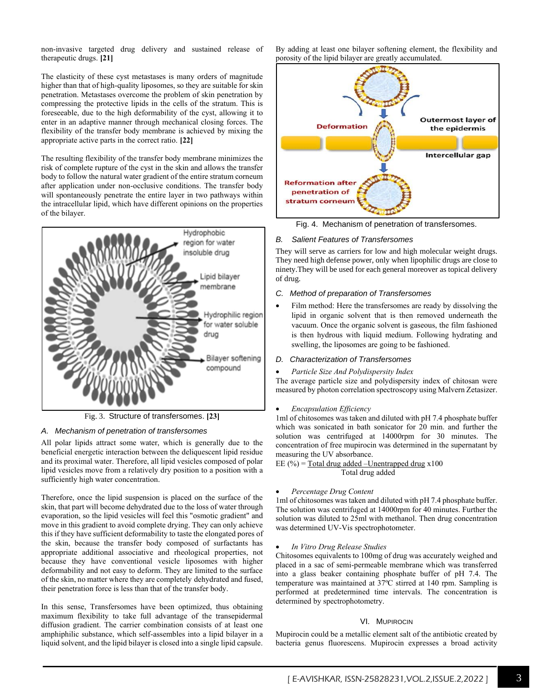non-invasive targeted drug delivery and sustained release of therapeutic drugs. **[21]**

The elasticity of these cyst metastases is many orders of magnitude higher than that of high-quality liposomes, so they are suitable for skin penetration. Metastases overcome the problem of skin penetration by compressing the protective lipids in the cells of the stratum. This is foreseeable, due to the high deformability of the cyst, allowing it to enter in an adaptive manner through mechanical closing forces. The flexibility of the transfer body membrane is achieved by mixing the appropriate active parts in the correct ratio. **[22]**

The resulting flexibility of the transfer body membrane minimizes the risk of complete rupture of the cyst in the skin and allows the transfer body to follow the natural water gradient of the entire stratum corneum after application under non-occlusive conditions. The transfer body will spontaneously penetrate the entire layer in two pathways within the intracellular lipid, which have different opinions on the properties of the bilayer.



Fig. 3. Structure of transfersomes. **[23]**

# *A. Mechanism of penetration of transfersomes*

All polar lipids attract some water, which is generally due to the beneficial energetic interaction between the deliquescent lipid residue and its proximal water. Therefore, all lipid vesicles composed of polar lipid vesicles move from a relatively dry position to a position with a sufficiently high water concentration.

Therefore, once the lipid suspension is placed on the surface of the skin, that part will become dehydrated due to the loss of water through evaporation, so the lipid vesicles will feel this "osmotic gradient" and move in this gradient to avoid complete drying. They can only achieve this if they have sufficient deformability to taste the elongated pores of the skin, because the transfer body composed of surfactants has appropriate additional associative and rheological properties, not because they have conventional vesicle liposomes with higher deformability and not easy to deform. They are limited to the surface of the skin, no matter where they are completely dehydrated and fused, their penetration force is less than that of the transfer body.

In this sense, Transfersomes have been optimized, thus obtaining maximum flexibility to take full advantage of the transepidermal diffusion gradient. The carrier combination consists of at least one amphiphilic substance, which self-assembles into a lipid bilayer in a liquid solvent, and the lipid bilayer is closed into a single lipid capsule. By adding at least one bilayer softening element, the flexibility and porosity of the lipid bilayer are greatly accumulated.



Fig. 4. Mechanism of penetration of transfersomes.

## *B. Salient Features of Transfersomes*

They will serve as carriers for low and high molecular weight drugs. They need high defense power, only when lipophilic drugs are close to ninety.They will be used for each general moreover as topical delivery of drug.

### *C. Method of preparation of Transfersomes*

Film method: Here the transfersomes are ready by dissolving the lipid in organic solvent that is then removed underneath the vacuum. Once the organic solvent is gaseous, the film fashioned is then hydrous with liquid medium. Following hydrating and swelling, the liposomes are going to be fashioned.

#### *D. Characterization of Transfersomes*

#### • *Particle Size And Polydispersity Index*

The average particle size and polydispersity index of chitosan were measured by photon correlation spectroscopy using Malvern Zetasizer.

#### • *Encapsulation Efficiency*

1ml of chitosomes was taken and diluted with pH 7.4 phosphate buffer which was sonicated in bath sonicator for 20 min. and further the solution was centrifuged at 14000rpm for 30 minutes. The concentration of free mupirocin was determined in the supernatant by measuring the UV absorbance.

EE  $(\%)$  = Total drug added –Unentrapped drug x100 Total drug added

#### • *Percentage Drug Content*

1ml of chitosomes was taken and diluted with pH 7.4 phosphate buffer. The solution was centrifuged at 14000rpm for 40 minutes. Further the solution was diluted to 25ml with methanol. Then drug concentration was determined UV-Vis spectrophotometer.

#### • *In Vitro Drug Release Studies*

Chitosomes equivalents to 100mg of drug was accurately weighed and placed in a sac of semi-permeable membrane which was transferred into a glass beaker containing phosphate buffer of pH 7.4. The temperature was maintained at 37ºC stirred at 140 rpm. Sampling is performed at predetermined time intervals. The concentration is determined by spectrophotometry.

# VI. MUPIROCIN

Mupirocin could be a metallic element salt of the antibiotic created by bacteria genus fluorescens. Mupirocin expresses a broad activity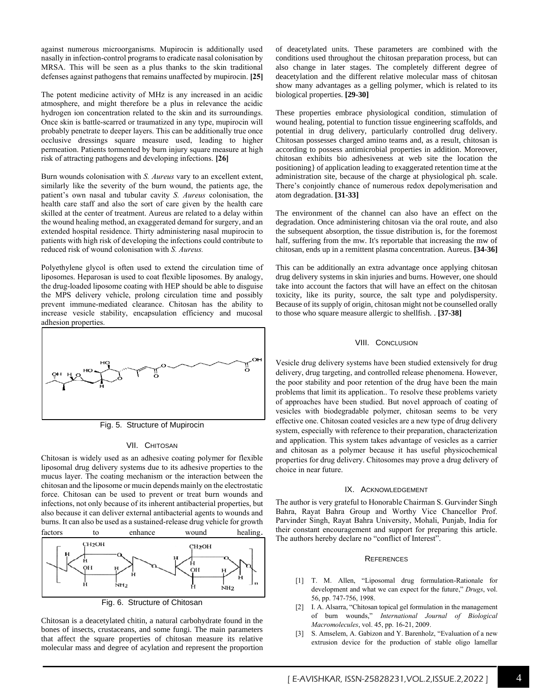against numerous microorganisms. Mupirocin is additionally used nasally in infection-control programs to eradicate nasal colonisation by MRSA. This will be seen as a plus thanks to the skin traditional defenses against pathogens that remains unaffected by mupirocin. **[25]**

The potent medicine activity of MHz is any increased in an acidic atmosphere, and might therefore be a plus in relevance the acidic hydrogen ion concentration related to the skin and its surroundings. Once skin is battle-scarred or traumatized in any type, mupirocin will probably penetrate to deeper layers. This can be additionally true once occlusive dressings square measure used, leading to higher permeation. Patients tormented by burn injury square measure at high risk of attracting pathogens and developing infections. **[26]**

Burn wounds colonisation with *S. Aureus* vary to an excellent extent, similarly like the severity of the burn wound, the patients age, the patient's own nasal and tubular cavity *S. Aureus* colonisation, the health care staff and also the sort of care given by the health care skilled at the center of treatment. Aureus are related to a delay within the wound healing method, an exaggerated demand for surgery, and an extended hospital residence. Thirty administering nasal mupirocin to patients with high risk of developing the infections could contribute to reduced risk of wound colonisation with *S. Aureus.*

Polyethylene glycol is often used to extend the circulation time of liposomes. Heparosan is used to coat flexible liposomes. By analogy, the drug-loaded liposome coating with HEP should be able to disguise the MPS delivery vehicle, prolong circulation time and possibly prevent immune-mediated clearance. Chitosan has the ability to increase vesicle stability, encapsulation efficiency and mucosal adhesion properties.



Fig. 5. Structure of Mupirocin

### VII. CHITOSAN

Chitosan is widely used as an adhesive coating polymer for flexible liposomal drug delivery systems due to its adhesive properties to the mucus layer. The coating mechanism or the interaction between the chitosan and the liposome or mucin depends mainly on the electrostatic force. Chitosan can be used to prevent or treat burn wounds and infections, not only because of its inherent antibacterial properties, but also because it can deliver external antibacterial agents to wounds and burns. It can also be used as a sustained-release drug vehicle for growth factors to enhance wound healing.



Fig. 6. Structure of Chitosan

Chitosan is a deacetylated chitin, a natural carbohydrate found in the bones of insects, crustaceans, and some fungi. The main parameters that affect the square properties of chitosan measure its relative molecular mass and degree of acylation and represent the proportion of deacetylated units. These parameters are combined with the conditions used throughout the chitosan preparation process, but can also change in later stages. The completely different degree of deacetylation and the different relative molecular mass of chitosan show many advantages as a gelling polymer, which is related to its biological properties. **[29-30]**

These properties embrace physiological condition, stimulation of wound healing, potential to function tissue engineering scaffolds, and potential in drug delivery, particularly controlled drug delivery. Chitosan possesses charged amino teams and, as a result, chitosan is according to possess antimicrobial properties in addition. Moreover, chitosan exhibits bio adhesiveness at web site the location the positioning} of application leading to exaggerated retention time at the administration site, because of the charge at physiological ph. scale. There's conjointly chance of numerous redox depolymerisation and atom degradation. **[31-33]**

The environment of the channel can also have an effect on the degradation. Once administering chitosan via the oral route, and also the subsequent absorption, the tissue distribution is, for the foremost half, suffering from the mw. It's reportable that increasing the mw of chitosan, ends up in a remittent plasma concentration. Aureus. **[34-36]**

This can be additionally an extra advantage once applying chitosan drug delivery systems in skin injuries and burns. However, one should take into account the factors that will have an effect on the chitosan toxicity, like its purity, source, the salt type and polydispersity. Because of its supply of origin, chitosan might not be counselled orally to those who square measure allergic to shellfish. . **[37-38]**

#### VIII. CONCLUSION

Vesicle drug delivery systems have been studied extensively for drug delivery, drug targeting, and controlled release phenomena. However, the poor stability and poor retention of the drug have been the main problems that limit its application.. To resolve these problems variety of approaches have been studied. But novel approach of coating of vesicles with biodegradable polymer, chitosan seems to be very effective one. Chitosan coated vesicles are a new type of drug delivery system, especially with reference to their preparation, characterization and application. This system takes advantage of vesicles as a carrier and chitosan as a polymer because it has useful physicochemical properties for drug delivery. Chitosomes may prove a drug delivery of choice in near future.

### IX. ACKNOWLEDGEMENT

The author is very grateful to Honorable Chairman S. Gurvinder Singh Bahra, Rayat Bahra Group and Worthy Vice Chancellor Prof. Parvinder Singh, Rayat Bahra University, Mohali, Punjab, India for their constant encouragement and support for preparing this article. The authors hereby declare no "conflict of Interest".

#### **REFERENCES**

- [1] T. M. Allen, "Liposomal drug formulation-Rationale for development and what we can expect for the future," *Drugs*, vol. 56, pp. 747-756, 1998.
- [2] I. A. Alsarra, "Chitosan topical gel formulation in the management of burn wounds," *International Journal of Biological Macromolecules*, vol. 45, pp. 16-21, 2009.
- [3] S. Amselem, A. Gabizon and Y. Barenholz, "Evaluation of a new extrusion device for the production of stable oligo lamellar